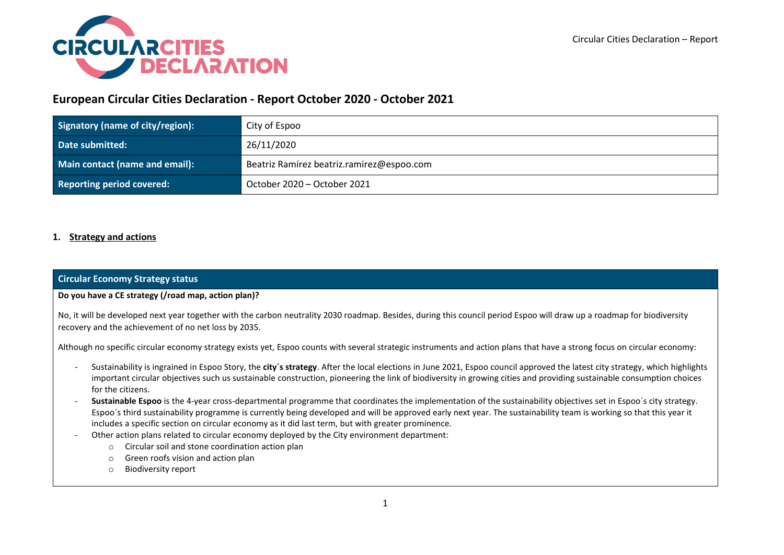

# **European Circular Cities Declaration - Report October 2020 - October 2021**

| Signatory (name of city/region): | City of Espoo                             |
|----------------------------------|-------------------------------------------|
| Date submitted:                  | 26/11/2020                                |
| Main contact (name and email):   | Beatriz Ramírez beatriz.ramirez@espoo.com |
| <b>Reporting period covered:</b> | October 2020 – October 2021               |

# **1. Strategy and actions**

# **Circular Economy Strategy status**

### **Do you have a CE strategy (/road map, action plan)?**

No, it will be developed next year together with the carbon neutrality 2030 roadmap. Besides, during this council period Espoo will draw up a roadmap for biodiversity recovery and the achievement of no net loss by 2035.

Although no specific circular economy strategy exists yet, Espoo counts with several strategic instruments and action plans that have a strong focus on circular economy:

- Sustainability is ingrained in Espoo Story, the **city´s strategy**. After the local elections in June 2021, Espoo council approved the latest city strategy, which highlights important circular objectives such us sustainable construction, pioneering the link of biodiversity in growing cities and providing sustainable consumption choices for the citizens.
- **Sustainable Espoo** is the 4-year cross-departmental programme that coordinates the implementation of the sustainability objectives set in Espoo´s city strategy. Espoo´s third sustainability programme is currently being developed and will be approved early next year. The sustainability team is working so that this year it includes a specific section on circular economy as it did last term, but with greater prominence.
- Other action plans related to circular economy deployed by the City environment department:
	- o Circular soil and stone coordination action plan
	- o Green roofs vision and action plan
	- o Biodiversity report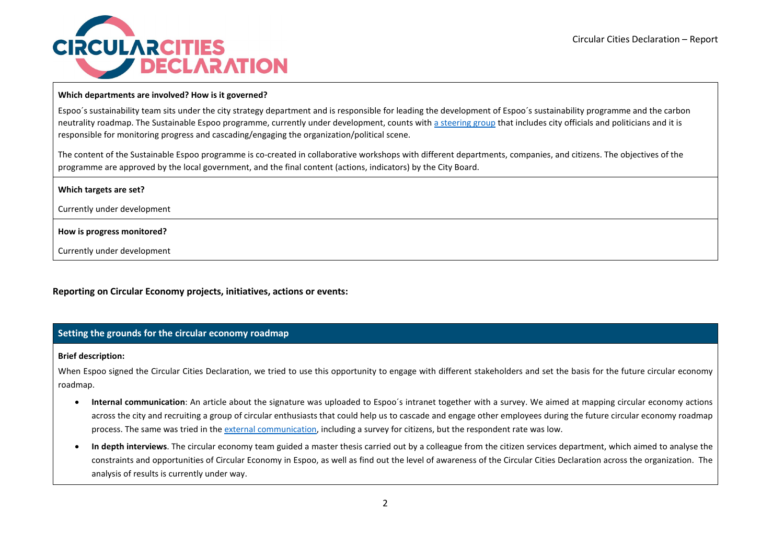

#### **Which departments are involved? How is it governed?**

Espoo´s sustainability team sits under the city strategy department and is responsible for leading the development of Espoo´s sustainability programme and the carbon neutrality roadmap. The Sustainable Espoo programme, currently under development, counts with [a steering group](https://www.espoo.fi/en/kestava-kehitys/sustainable-espoo#section-26868) that includes city officials and politicians and it is responsible for monitoring progress and cascading/engaging the organization/political scene.

The content of the Sustainable Espoo programme is co-created in collaborative workshops with different departments, companies, and citizens. The objectives of the programme are approved by the local government, and the final content (actions, indicators) by the City Board.

Currently under development

**How is progress monitored?**

Currently under development

**Reporting on Circular Economy projects, initiatives, actions or events:**

### **Setting the grounds for the circular economy roadmap**

#### **Brief description:**

When Espoo signed the Circular Cities Declaration, we tried to use this opportunity to engage with different stakeholders and set the basis for the future circular economy roadmap.

- **Internal communication**: An article about the signature was uploaded to Espoo´s intranet together with a survey. We aimed at mapping circular economy actions across the city and recruiting a group of circular enthusiasts that could help us to cascade and engage other employees during the future circular economy roadmap process. The same was tried in the [external communication,](https://www.espoo.fi/en/news/2021/01/espoo-commits-circular-economy) including a survey for citizens, but the respondent rate was low.
- **In depth interviews**. The circular economy team guided a master thesis carried out by a colleague from the citizen services department, which aimed to analyse the constraints and opportunities of Circular Economy in Espoo, as well as find out the level of awareness of the Circular Cities Declaration across the organization. The analysis of results is currently under way.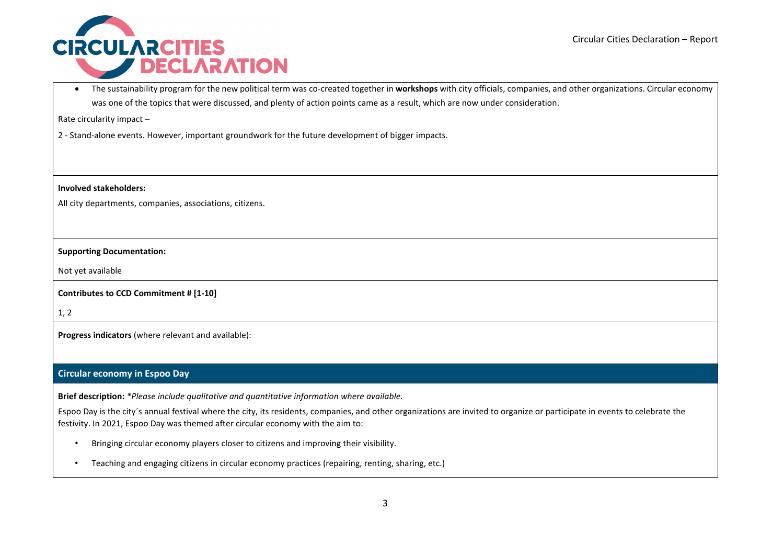

• The sustainability program for the new political term was co-created together in **workshops** with city officials, companies, and other organizations. Circular economy was one of the topics that were discussed, and plenty of action points came as a result, which are now under consideration.

Rate circularity impact –

2 - Stand-alone events. However, important groundwork for the future development of bigger impacts.

**Involved stakeholders:** 

All city departments, companies, associations, citizens.

#### **Supporting Documentation:**

Not yet available

**Contributes to CCD Commitment # [1-10]** 

1, 2

**Progress indicators** (where relevant and available):

### **Circular economy in Espoo Day**

**Brief description:** *\*Please include qualitative and quantitative information where available.*

Espoo Day is the city´s annual festival where the city, its residents, companies, and other organizations are invited to organize or participate in events to celebrate the festivity. In 2021, Espoo Day was themed after circular economy with the aim to:

- Bringing circular economy players closer to citizens and improving their visibility.
- Teaching and engaging citizens in circular economy practices (repairing, renting, sharing, etc.)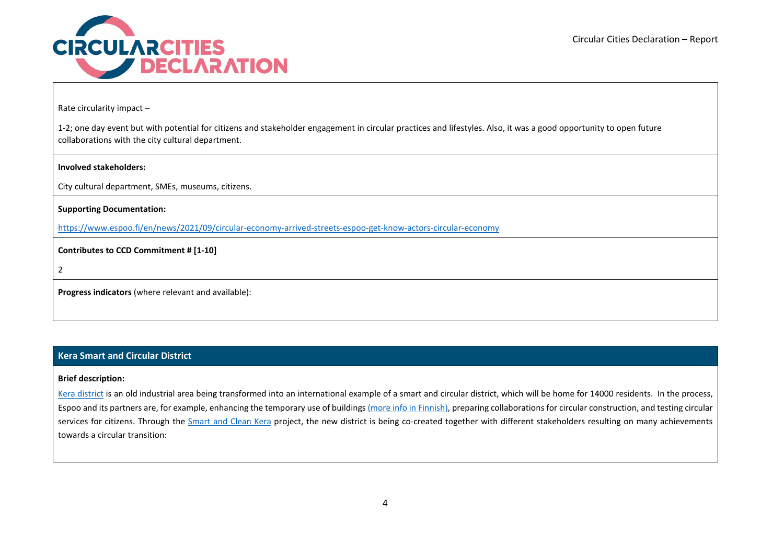

Rate circularity impact –

1-2; one day event but with potential for citizens and stakeholder engagement in circular practices and lifestyles. Also, it was a good opportunity to open future collaborations with the city cultural department.

### **Involved stakeholders:**

City cultural department, SMEs, museums, citizens.

**Supporting Documentation:** 

<https://www.espoo.fi/en/news/2021/09/circular-economy-arrived-streets-espoo-get-know-actors-circular-economy>

**Contributes to CCD Commitment # [1-10]** 

2

**Progress indicators** (where relevant and available):

# **Kera Smart and Circular District**

### **Brief description:**

[Kera district](https://www.espoo.fi/en/housing-and-building/kera) is an old industrial area being transformed into an international example of a smart and circular district, which will be home for 14000 residents. In the process, Espoo and its partners are, for example, enhancing the temporary use of buildings [\(more info in Finnish\),](https://www.hs.fi/kaupunki/espoo/art-2000008311138.html) preparing collaborations for circular construction, and testing circular services for citizens. Through the [Smart and Clean Kera](https://www.espoo.fi/en/kestava-kehitys/smart-and-clean-kera) project, the new district is being co-created together with different stakeholders resulting on many achievements towards a circular transition: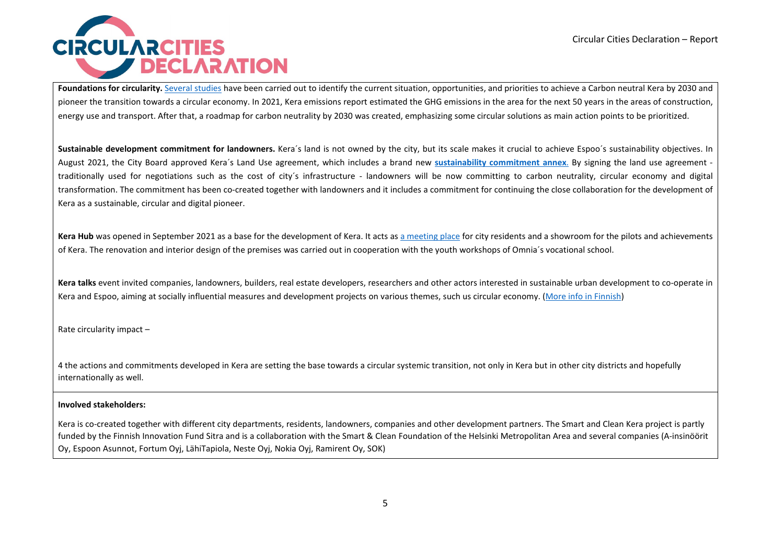

Foundations for circularity. [Several](https://www.espoo.fi/en/kera-projects-and-reports#section-18021) studies have been carried out to identify the current situation, opportunities, and priorities to achieve a Carbon neutral Kera by 2030 and pioneer the transition towards a circular economy. In 2021, Kera emissions report estimated the GHG emissions in the area for the next 50 years in the areas of construction, energy use and transport. After that, a roadmap for carbon neutrality by 2030 was created, emphasizing some circular solutions as main action points to be prioritized.

Sustainable development commitment for landowners. Kera's land is not owned by the city, but its scale makes it crucial to achieve Espoo's sustainability objectives. In August 2021, the City Board approved Kera´s Land Use agreement, which includes a brand new **[sustainability commitment annex](https://www.espoo.fi/en/future-kera#section-19165)**. By signing the land use agreement traditionally used for negotiations such as the cost of city´s infrastructure - landowners will be now committing to carbon neutrality, circular economy and digital transformation. The commitment has been co-created together with landowners and it includes a commitment for continuing the close collaboration for the development of Kera as a sustainable, circular and digital pioneer.

Kera Hub was opened in September 2021 as a base for the development of Kera. It acts as [a meeting place](https://www.espoo.fi/en/kera-hub) for city residents and a showroom for the pilots and achievements of Kera. The renovation and interior design of the premises was carried out in cooperation with the youth workshops of Omnia´s vocational school.

**Kera talks** event invited companies, landowners, builders, real estate developers, researchers and other actors interested in sustainable urban development to co-operate in Kera and Espoo, aiming at socially influential measures and development projects on various themes, such us circular economy. [\(More info in Finnish\)](https://www.espoo.fi/fi/kera-talks)

Rate circularity impact –

4 the actions and commitments developed in Kera are setting the base towards a circular systemic transition, not only in Kera but in other city districts and hopefully internationally as well.

#### **Involved stakeholders:**

Kera is co-created together with different city departments, residents, landowners, companies and other development partners. The Smart and Clean Kera project is partly funded by the Finnish Innovation Fund Sitra and is a collaboration with the Smart & Clean Foundation of the Helsinki Metropolitan Area and several companies (A-insinöörit Oy, Espoon Asunnot, Fortum Oyj, LähiTapiola, Neste Oyj, Nokia Oyj, Ramirent Oy, SOK)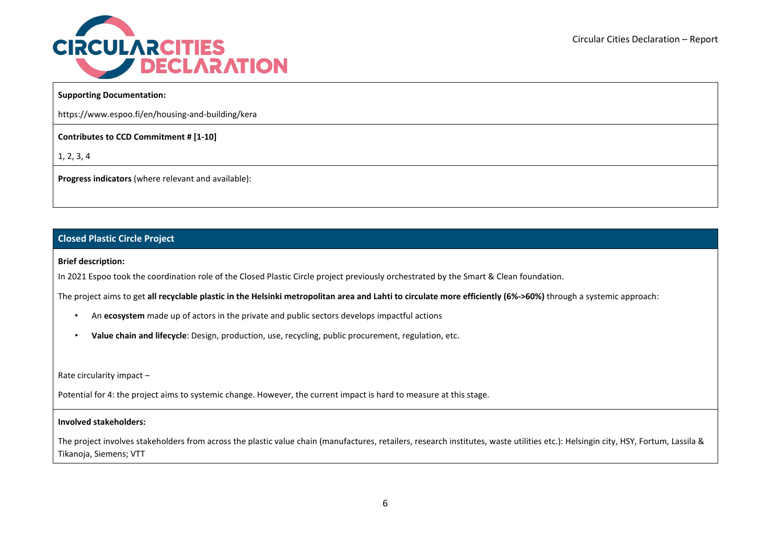

### **Supporting Documentation:**

https://www.espoo.fi/en/housing-and-building/kera

**Contributes to CCD Commitment # [1-10]** 

1, 2, 3, 4

**Progress indicators** (where relevant and available):

## **Closed Plastic Circle Project**

#### **Brief description:**

In 2021 Espoo took the coordination role of the Closed Plastic Circle project previously orchestrated by the Smart & Clean foundation.

The project aims to get **all recyclable plastic in the Helsinki metropolitan area and Lahti to circulate more efficiently (6%->60%)** through a systemic approach:

- An **ecosystem** made up of actors in the private and public sectors develops impactful actions
- **Value chain and lifecycle**: Design, production, use, recycling, public procurement, regulation, etc.

Rate circularity impact –

Potential for 4: the project aims to systemic change. However, the current impact is hard to measure at this stage.

#### **Involved stakeholders:**

The project involves stakeholders from across the plastic value chain (manufactures, retailers, research institutes, waste utilities etc.): Helsingin city, HSY, Fortum, Lassila & Tikanoja, Siemens; VTT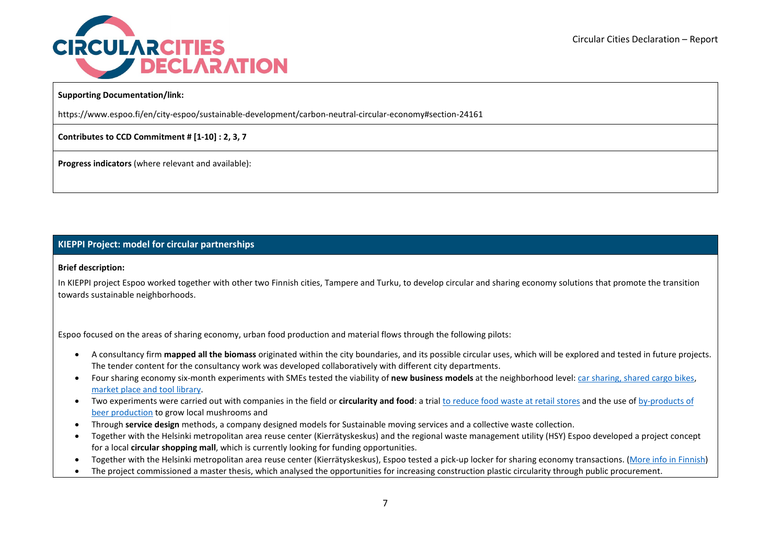

### **Supporting Documentation/link:**

https://www.espoo.fi/en/city-espoo/sustainable-development/carbon-neutral-circular-economy#section-24161

**Contributes to CCD Commitment # [1-10] : 2, 3, 7**

**Progress indicators** (where relevant and available):

# **KIEPPI Project: model for circular partnerships**

#### **Brief description:**

In KIEPPI project Espoo worked together with other two Finnish cities, Tampere and Turku, to develop circular and sharing economy solutions that promote the transition towards sustainable neighborhoods.

Espoo focused on the areas of sharing economy, urban food production and material flows through the following pilots:

- A consultancy firm **mapped all the biomass** originated within the city boundaries, and its possible circular uses, which will be explored and tested in future projects. The tender content for the consultancy work was developed collaboratively with different city departments.
- Four sharing economy six-month experiments with SMEs tested the viability of **new business models** at the neighborhood level: [car sharing, shared cargo bikes,](https://www.espoo.fi/en/news/2021/05/carsharing-could-help-you-get-rid-your-own-car) market place [and tool library.](https://www.espoo.fi/en/news/2021/08/espoos-circular-economy-pilots-circulate-items-immediate-neighbourhood)
- Two experiments were carried out with companies in the field or **circularity and food**: a tria[l to reduce food waste at retail stores](https://www.espoo.fi/en/news/2021/02/everything-circulates-kera) and the use o[f by-products of](https://www.espoo.fi/en/news/2021/06/circular-economy-waste-becomes-raw-material)  [beer production](https://www.espoo.fi/en/news/2021/06/circular-economy-waste-becomes-raw-material) to grow local mushrooms and
- Through **service design** methods, a company designed models for Sustainable moving services and a collective waste collection.
- Together with the Helsinki metropolitan area reuse center (Kierrätyskeskus) and the regional waste management utility (HSY) Espoo developed a project concept for a local **circular shopping mall**, which is currently looking for funding opportunities.
- Together with the Helsinki metropolitan area reuse center (Kierrätyskeskus), Espoo tested a pick-up locker for sharing economy transactions. [\(More info in Finnish\)](https://www.kierratyskeskus.fi/tietoa_meista/ajankohtaista/noutoboksi_nihtisillassa)
- The project commissioned a master thesis, which analysed the opportunities for increasing construction plastic circularity through public procurement.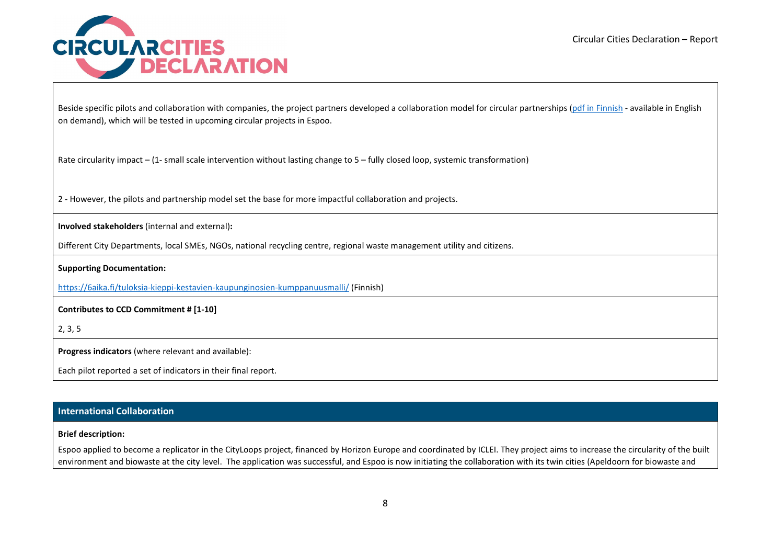

Beside specific pilots and collaboration with companies, the project partners developed a collaboration model for circular partnerships [\(pdf in Finnish](https://www.tampere.fi/tiedostot/k/60kuX5HRv/KIEPPI-kumppanuusmalli_Kiertotalouden_kumppanuusmallin_esittely.pdf) - available in English on demand), which will be tested in upcoming circular projects in Espoo.

Rate circularity impact – (1- small scale intervention without lasting change to 5 – fully closed loop, systemic transformation)

2 - However, the pilots and partnership model set the base for more impactful collaboration and projects.

**Involved stakeholders** (internal and external)**:** 

Different City Departments, local SMEs, NGOs, national recycling centre, regional waste management utility and citizens.

**Supporting Documentation:** 

<https://6aika.fi/tuloksia-kieppi-kestavien-kaupunginosien-kumppanuusmalli/> (Finnish)

**Contributes to CCD Commitment # [1-10]** 

2, 3, 5

**Progress indicators** (where relevant and available):

Each pilot reported a set of indicators in their final report.

# **International Collaboration**

### **Brief description:**

Espoo applied to become a replicator in the CityLoops project, financed by Horizon Europe and coordinated by ICLEI. They project aims to increase the circularity of the built environment and biowaste at the city level. The application was successful, and Espoo is now initiating the collaboration with its twin cities (Apeldoorn for biowaste and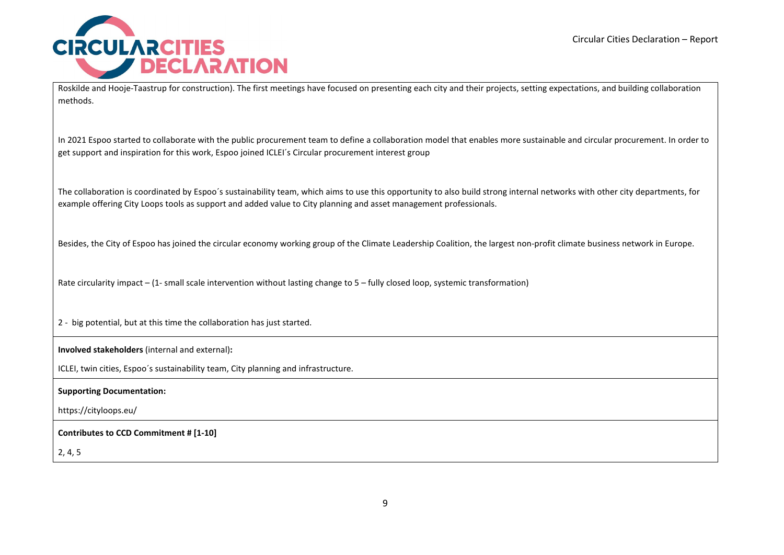

Roskilde and Hooje-Taastrup for construction). The first meetings have focused on presenting each city and their projects, setting expectations, and building collaboration methods.

In 2021 Espoo started to collaborate with the public procurement team to define a collaboration model that enables more sustainable and circular procurement. In order to get support and inspiration for this work, Espoo joined ICLEI´s Circular procurement interest group

The collaboration is coordinated by Espoo´s sustainability team, which aims to use this opportunity to also build strong internal networks with other city departments, for example offering City Loops tools as support and added value to City planning and asset management professionals.

Besides, the City of Espoo has joined the circular economy working group of the Climate Leadership Coalition, the largest non-profit climate business network in Europe.

Rate circularity impact – (1- small scale intervention without lasting change to 5 – fully closed loop, systemic transformation)

2 - big potential, but at this time the collaboration has just started.

**Involved stakeholders** (internal and external)**:** 

ICLEI, twin cities, Espoo´s sustainability team, City planning and infrastructure.

**Supporting Documentation:** 

https://cityloops.eu/

**Contributes to CCD Commitment # [1-10]** 

2, 4, 5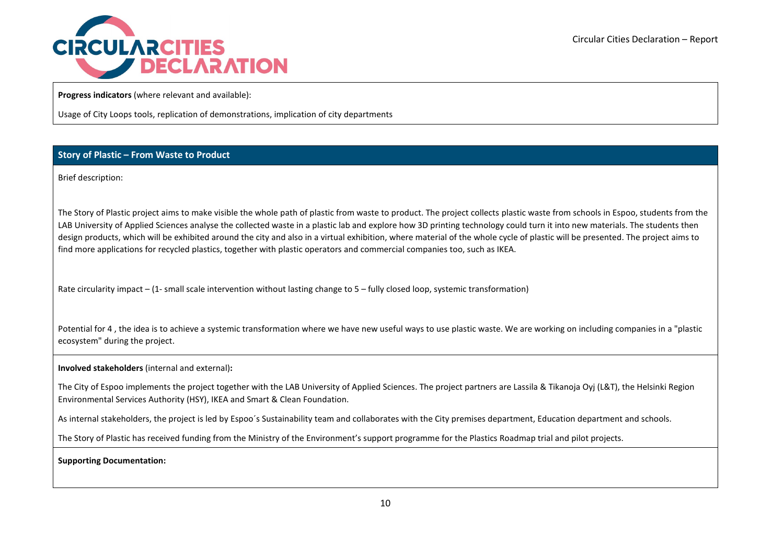

**Progress indicators** (where relevant and available):

Usage of City Loops tools, replication of demonstrations, implication of city departments

# **Story of Plastic – From Waste to Product**

Brief description:

The Story of Plastic project aims to make visible the whole path of plastic from waste to product. The project collects plastic waste from schools in Espoo, students from the LAB University of Applied Sciences analyse the collected waste in a plastic lab and explore how 3D printing technology could turn it into new materials. The students then design products, which will be exhibited around the city and also in a virtual exhibition, where material of the whole cycle of plastic will be presented. The project aims to find more applications for recycled plastics, together with plastic operators and commercial companies too, such as IKEA.

Rate circularity impact – (1- small scale intervention without lasting change to 5 – fully closed loop, systemic transformation)

Potential for 4, the idea is to achieve a systemic transformation where we have new useful ways to use plastic waste. We are working on including companies in a "plastic ecosystem" during the project.

**Involved stakeholders** (internal and external)**:** 

The City of Espoo implements the project together with the LAB University of Applied Sciences. The project partners are Lassila & Tikanoja Oyj (L&T), the Helsinki Region Environmental Services Authority (HSY), IKEA and Smart & Clean Foundation.

As internal stakeholders, the project is led by Espoo's Sustainability team and collaborates with the City premises department, Education department and schools.

The Story of Plastic has received funding from the Ministry of the Environment's support programme for the Plastics Roadmap trial and pilot projects.

**Supporting Documentation:**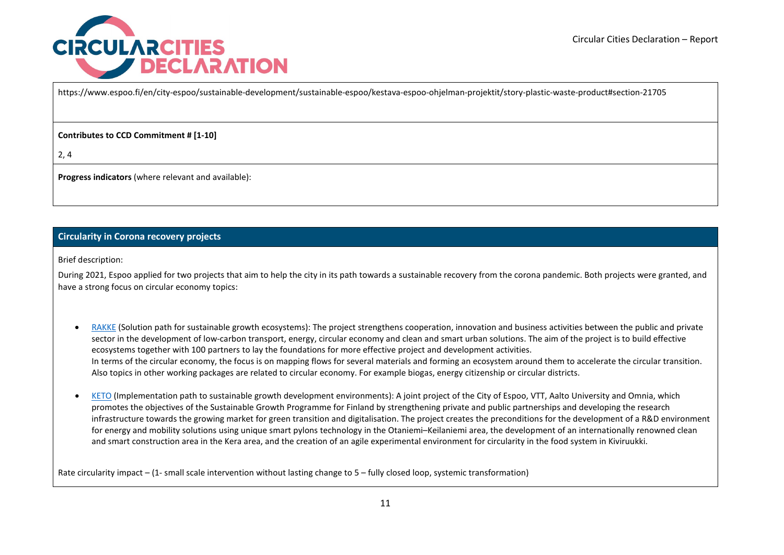

https://www.espoo.fi/en/city-espoo/sustainable-development/sustainable-espoo/kestava-espoo-ohjelman-projektit/story-plastic-waste-product#section-21705

**Contributes to CCD Commitment # [1-10]** 

2, 4

**Progress indicators** (where relevant and available):

# **Circularity in Corona recovery projects**

Brief description:

During 2021, Espoo applied for two projects that aim to help the city in its path towards a sustainable recovery from the corona pandemic. Both projects were granted, and have a strong focus on circular economy topics:

- [RAKKE](https://www.espoo.fi/en/city-espoo/sustainable-development/carbon-neutral-circular-economy#section-24157) (Solution path for sustainable growth ecosystems): The project strengthens cooperation, innovation and business activities between the public and private sector in the development of low-carbon transport, energy, circular economy and clean and smart urban solutions. The aim of the project is to build effective ecosystems together with 100 partners to lay the foundations for more effective project and development activities. In terms of the circular economy, the focus is on mapping flows for several materials and forming an ecosystem around them to accelerate the circular transition. Also topics in other working packages are related to circular economy. For example biogas, energy citizenship or circular districts.
- [KETO](https://www.espoo.fi/en/city-espoo/sustainable-development/carbon-neutral-circular-economy#section-24159) (Implementation path to sustainable growth development environments): A joint project of the City of Espoo, VTT, Aalto University and Omnia, which promotes the objectives of the Sustainable Growth Programme for Finland by strengthening private and public partnerships and developing the research infrastructure towards the growing market for green transition and digitalisation. The project creates the preconditions for the development of a R&D environment for energy and mobility solutions using unique smart pylons technology in the Otaniemi–Keilaniemi area, the development of an internationally renowned clean and smart construction area in the Kera area, and the creation of an agile experimental environment for circularity in the food system in Kiviruukki.

Rate circularity impact – (1- small scale intervention without lasting change to 5 – fully closed loop, systemic transformation)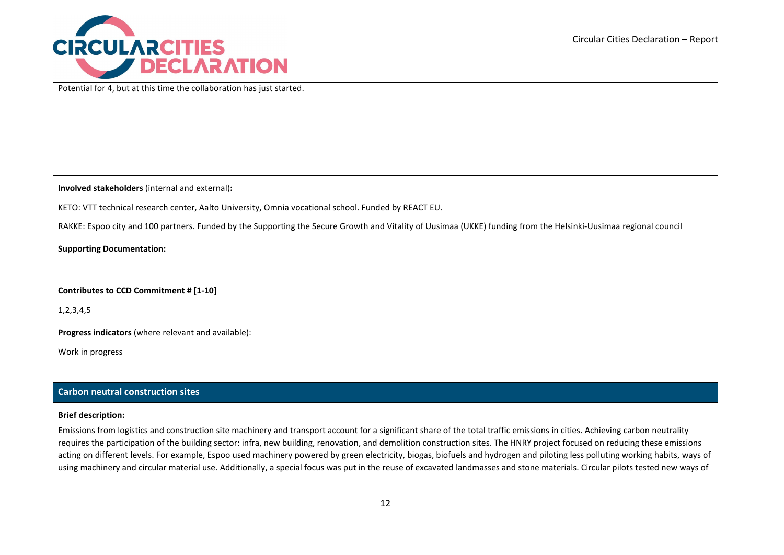

Potential for 4, but at this time the collaboration has just started.

**Involved stakeholders** (internal and external)**:** 

KETO: VTT technical research center, Aalto University, Omnia vocational school. Funded by REACT EU.

RAKKE: Espoo city and 100 partners. Funded by the Supporting the Secure Growth and Vitality of Uusimaa (UKKE) funding from the Helsinki-Uusimaa regional council

### **Supporting Documentation:**

# **Contributes to CCD Commitment # [1-10]**

1,2,3,4,5

**Progress indicators** (where relevant and available):

Work in progress

### **Carbon neutral construction sites**

#### **Brief description:**

Emissions from logistics and construction site machinery and transport account for a significant share of the total traffic emissions in cities. Achieving carbon neutrality requires the participation of the building sector: infra, new building, renovation, and demolition construction sites. The HNRY project focused on reducing these emissions acting on different levels. For example, Espoo used machinery powered by green electricity, biogas, biofuels and hydrogen and piloting less polluting working habits, ways of using machinery and circular material use. Additionally, a special focus was put in the reuse of excavated landmasses and stone materials. Circular pilots tested new ways of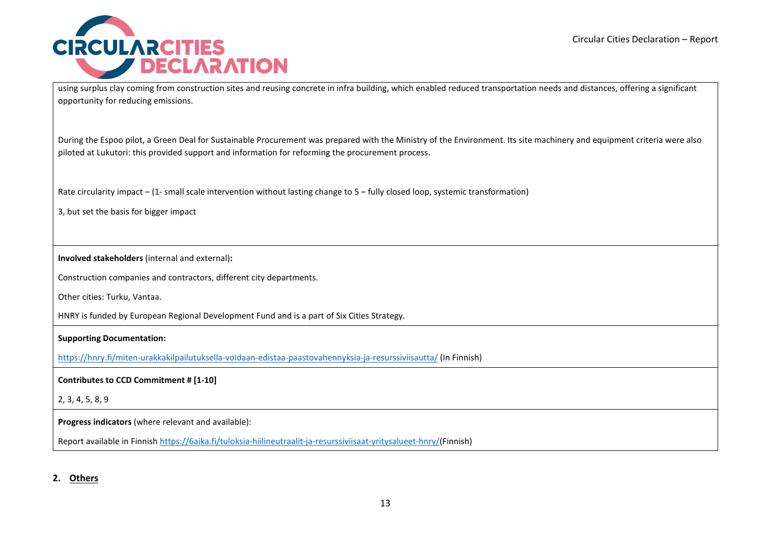

using surplus clay coming from construction sites and reusing concrete in infra building, which enabled reduced transportation needs and distances, offering a significant opportunity for reducing emissions.

During the Espoo pilot, a Green Deal for Sustainable Procurement was prepared with the Ministry of the Environment. Its site machinery and equipment criteria were also piloted at Lukutori: this provided support and information for reforming the procurement process.

Rate circularity impact – (1- small scale intervention without lasting change to 5 – fully closed loop, systemic transformation)

3, but set the basis for bigger impact

**Involved stakeholders** (internal and external)**:** 

Construction companies and contractors, different city departments.

Other cities: Turku, Vantaa.

HNRY is funded by European Regional Development Fund and is a part of Six Cities Strategy.

**Supporting Documentation:** 

<https://hnry.fi/miten-urakkakilpailutuksella-voidaan-edistaa-paastovahennyksia-ja-resurssiviisautta/> (In Finnish)

**Contributes to CCD Commitment # [1-10]** 

2, 3, 4, 5, 8, 9

**Progress indicators** (where relevant and available):

Report available in Finnis[h https://6aika.fi/tuloksia-hiilineutraalit-ja-resurssiviisaat-yritysalueet-hnry/\(](https://6aika.fi/tuloksia-hiilineutraalit-ja-resurssiviisaat-yritysalueet-hnry/)Finnish)

**2. Others**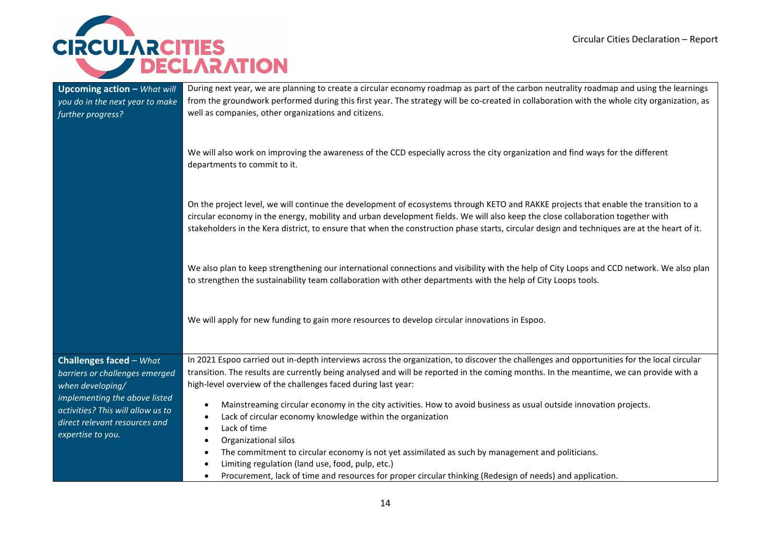

| <b>Upcoming action - What will</b><br>you do in the next year to make<br>further progress? | During next year, we are planning to create a circular economy roadmap as part of the carbon neutrality roadmap and using the learnings<br>from the groundwork performed during this first year. The strategy will be co-created in collaboration with the whole city organization, as<br>well as companies, other organizations and citizens.                                                                         |
|--------------------------------------------------------------------------------------------|------------------------------------------------------------------------------------------------------------------------------------------------------------------------------------------------------------------------------------------------------------------------------------------------------------------------------------------------------------------------------------------------------------------------|
|                                                                                            | We will also work on improving the awareness of the CCD especially across the city organization and find ways for the different<br>departments to commit to it.                                                                                                                                                                                                                                                        |
|                                                                                            | On the project level, we will continue the development of ecosystems through KETO and RAKKE projects that enable the transition to a<br>circular economy in the energy, mobility and urban development fields. We will also keep the close collaboration together with<br>stakeholders in the Kera district, to ensure that when the construction phase starts, circular design and techniques are at the heart of it. |
|                                                                                            | We also plan to keep strengthening our international connections and visibility with the help of City Loops and CCD network. We also plan<br>to strengthen the sustainability team collaboration with other departments with the help of City Loops tools.                                                                                                                                                             |
|                                                                                            | We will apply for new funding to gain more resources to develop circular innovations in Espoo.                                                                                                                                                                                                                                                                                                                         |
| <b>Challenges faced</b> $-What$                                                            | In 2021 Espoo carried out in-depth interviews across the organization, to discover the challenges and opportunities for the local circular                                                                                                                                                                                                                                                                             |
| barriers or challenges emerged                                                             | transition. The results are currently being analysed and will be reported in the coming months. In the meantime, we can provide with a                                                                                                                                                                                                                                                                                 |
| when developing/                                                                           | high-level overview of the challenges faced during last year:                                                                                                                                                                                                                                                                                                                                                          |
| implementing the above listed                                                              | Mainstreaming circular economy in the city activities. How to avoid business as usual outside innovation projects.<br>$\bullet$                                                                                                                                                                                                                                                                                        |
| activities? This will allow us to<br>direct relevant resources and                         | Lack of circular economy knowledge within the organization<br>$\bullet$                                                                                                                                                                                                                                                                                                                                                |
| expertise to you.                                                                          | Lack of time                                                                                                                                                                                                                                                                                                                                                                                                           |
|                                                                                            | Organizational silos                                                                                                                                                                                                                                                                                                                                                                                                   |
|                                                                                            | The commitment to circular economy is not yet assimilated as such by management and politicians.<br>٠<br>Limiting regulation (land use, food, pulp, etc.)                                                                                                                                                                                                                                                              |
|                                                                                            | Procurement, lack of time and resources for proper circular thinking (Redesign of needs) and application.<br>$\bullet$                                                                                                                                                                                                                                                                                                 |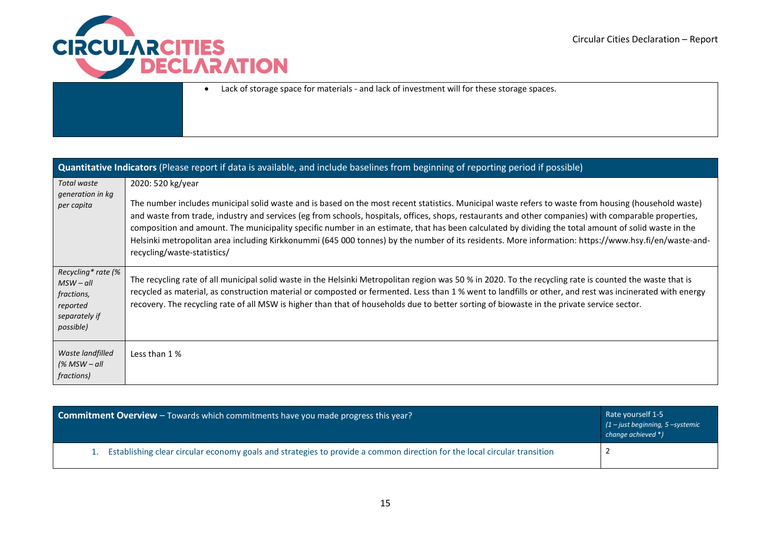

• Lack of storage space for materials - and lack of investment will for these storage spaces.

| Quantitative Indicators (Please report if data is available, and include baselines from beginning of reporting period if possible) |                                                                                                                                                                                                                                                                                                                                                                                                                                                                                                                                                                                                                                                                                   |  |
|------------------------------------------------------------------------------------------------------------------------------------|-----------------------------------------------------------------------------------------------------------------------------------------------------------------------------------------------------------------------------------------------------------------------------------------------------------------------------------------------------------------------------------------------------------------------------------------------------------------------------------------------------------------------------------------------------------------------------------------------------------------------------------------------------------------------------------|--|
| Total waste<br>generation in kg<br>per capita                                                                                      | 2020: 520 kg/year<br>The number includes municipal solid waste and is based on the most recent statistics. Municipal waste refers to waste from housing (household waste)<br>and waste from trade, industry and services (eg from schools, hospitals, offices, shops, restaurants and other companies) with comparable properties,<br>composition and amount. The municipality specific number in an estimate, that has been calculated by dividing the total amount of solid waste in the<br>Helsinki metropolitan area including Kirkkonummi (645 000 tonnes) by the number of its residents. More information: https://www.hsy.fi/en/waste-and-<br>recycling/waste-statistics/ |  |
| Recycling* rate (%<br>$MSW - all$<br>fractions,<br>reported<br>separately if<br>possible)                                          | The recycling rate of all municipal solid waste in the Helsinki Metropolitan region was 50 % in 2020. To the recycling rate is counted the waste that is<br>recycled as material, as construction material or composted or fermented. Less than 1 % went to landfills or other, and rest was incinerated with energy<br>recovery. The recycling rate of all MSW is higher than that of households due to better sorting of biowaste in the private service sector.                                                                                                                                                                                                                |  |
| Waste landfilled<br>(% MSW – all<br>fractions)                                                                                     | Less than 1 %                                                                                                                                                                                                                                                                                                                                                                                                                                                                                                                                                                                                                                                                     |  |

| <b>Commitment Overview</b> – Towards which commitments have you made progress this year?                                    | Rate yourself 1-5<br>$(1 - just beginning, 5 - systemic)$<br>change achieved *) |
|-----------------------------------------------------------------------------------------------------------------------------|---------------------------------------------------------------------------------|
| 1. Establishing clear circular economy goals and strategies to provide a common direction for the local circular transition |                                                                                 |